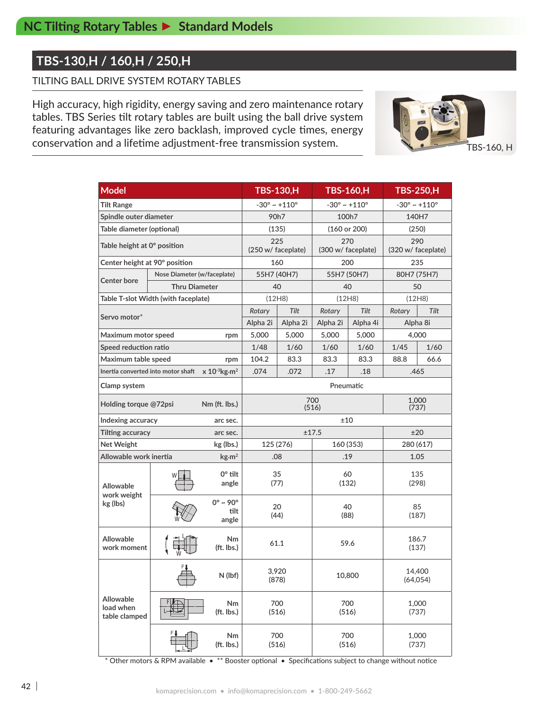## **TBS-130,H / 160,H / 250,H**

### TILTING BALL DRIVE SYSTEM ROTARY TABLES

High accuracy, high rigidity, energy saving and zero maintenance rotary tables. TBS Series tilt rotary tables are built using the ball drive system featuring advantages like zero backlash, improved cycle times, energy conservation and a lifetime adjustment-free transmission system.



| <b>Model</b>                                                          |                      | <b>TBS-130,H</b>                         | <b>TBS-160,H</b>          |                                 | <b>TBS-250,H</b>          |                                 |                                 |      |  |  |
|-----------------------------------------------------------------------|----------------------|------------------------------------------|---------------------------|---------------------------------|---------------------------|---------------------------------|---------------------------------|------|--|--|
| <b>Tilt Range</b>                                                     |                      |                                          |                           | $-30^{\circ} \sim +110^{\circ}$ |                           | $-30^{\circ} \sim +110^{\circ}$ | $-30^{\circ} \sim +110^{\circ}$ |      |  |  |
| Spindle outer diameter                                                |                      |                                          |                           | 90h7                            |                           | 100h7                           | 140H7                           |      |  |  |
| Table diameter (optional)                                             |                      |                                          |                           | (135)                           | (160 or 200)              |                                 | (250)                           |      |  |  |
| Table height at 0° position                                           |                      | 225<br>(250 w/ faceplate)                | 270<br>(300 w/ faceplate) |                                 | 290<br>(320 w/ faceplate) |                                 |                                 |      |  |  |
| Center height at 90° position                                         |                      |                                          |                           | 160                             | 200                       |                                 | 235                             |      |  |  |
| Nose Diameter (w/faceplate)<br><b>Center bore</b>                     |                      |                                          |                           | 55H7 (40H7)                     | 55H7 (50H7)               |                                 | 80H7 (75H7)                     |      |  |  |
|                                                                       | <b>Thru Diameter</b> |                                          |                           | 40                              | 40                        |                                 | 50                              |      |  |  |
| Table T-slot Width (with faceplate)                                   |                      | (12H8)                                   | (12H8)                    |                                 | (12H8)                    |                                 |                                 |      |  |  |
|                                                                       | Rotary               | Tilt                                     | Rotary                    | Tilt                            | Rotary                    | Tilt                            |                                 |      |  |  |
| Servo motor*                                                          |                      | Alpha 2i                                 | Alpha 2i                  | Alpha 2i                        | Alpha 4i                  | Alpha 8i                        |                                 |      |  |  |
| Maximum motor speed                                                   | rpm                  | 5,000                                    | 5,000                     | 5,000<br>5,000                  |                           | 4,000                           |                                 |      |  |  |
| Speed reduction ratio                                                 |                      |                                          | 1/48                      | 1/60                            | 1/60                      | 1/60                            | 1/45                            | 1/60 |  |  |
| Maximum table speed                                                   | rpm                  | 104.2                                    | 83.3                      | 83.3                            | 83.3                      | 88.8                            | 66.6                            |      |  |  |
| Inertia converted into motor shaft $\times 10^{-3}$ kg·m <sup>2</sup> | .074                 | .072                                     | .17                       | .18                             | .465                      |                                 |                                 |      |  |  |
| Clamp system                                                          | Pneumatic            |                                          |                           |                                 |                           |                                 |                                 |      |  |  |
| Holding torque @72psi<br>Nm (ft. lbs.)                                |                      |                                          |                           | 700<br>(516)                    |                           | 1,000<br>(737)                  |                                 |      |  |  |
| Indexing accuracy                                                     |                      | arc sec.                                 |                           |                                 | ±10                       |                                 |                                 |      |  |  |
| Tilting accuracy                                                      |                      | arc sec.                                 |                           |                                 | ±17.5                     |                                 | ±20                             |      |  |  |
| Net Weight                                                            |                      | kg (lbs.)                                |                           | 125 (276)                       | 160 (353)                 |                                 | 280 (617)                       |      |  |  |
| Allowable work inertia                                                |                      | $\text{kg}\cdot\text{m}^2$               |                           | .08                             | .19                       |                                 | 1.05                            |      |  |  |
| <b>Allowable</b><br>work weight<br>kg (lbs)                           |                      | $0^\circ$ tilt<br>angle                  | (77)                      | 35                              | 60<br>(132)               |                                 | 135<br>(298)                    |      |  |  |
|                                                                       |                      | $0^\circ \sim 90^\circ$<br>tilt<br>angle |                           | 20<br>(44)                      | (88)                      | 40                              | 85<br>(187)                     |      |  |  |
| Allowable<br>work moment                                              |                      | <b>Nm</b><br>(ft. lbs.)                  | 61.1                      |                                 |                           | 59.6                            | 186.7<br>(137)                  |      |  |  |
| Allowable<br>load when<br>table clamped                               |                      | N (lbf)                                  |                           | 3.920<br>(878)                  | 10,800                    |                                 | 14,400<br>(64, 054)             |      |  |  |
|                                                                       |                      | Nm<br>(ft. lbs.)                         |                           | 700<br>(516)                    | 700<br>(516)              |                                 | 1,000<br>(737)                  |      |  |  |
|                                                                       |                      | Nm<br>(ft. lbs.)                         |                           | 700<br>(516)                    | (516)                     | 700                             | 1,000<br>(737)                  |      |  |  |

\* Other motors & RPM available • \*\* Booster optional • Specifications subject to change without notice